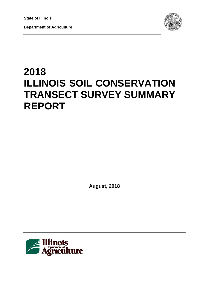**Department of Agriculture** 



# **2018 ILLINOIS SOIL CONSERVATION TRANSECT SURVEY SUMMARY REPORT**

**August, 2018**

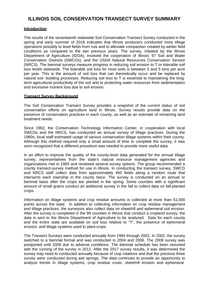## **ILLINOIS SOIL CONSERVATION TRANSECT SURVEY SUMMARY**

#### **Introduction**

The results of the seventeenth statewide Soil Conservation Transect Survey conducted in the spring and early summer of 2018 indicates that Illinois producers conducted more tillage operations possibly to level fields from ruts and to alleviate compaction created by wetter field conditions as compared to the two previous years. The survey, initiated by the Illinois Department of Agriculture (IDOA), involved the cooperation of Illinois' 97 Soil and Water Conservation Districts (SWCDs), and the USDA Natural Resources Conservation Service (NRCS). The biennial surveys measure progress in reducing soil erosion to T or tolerable soil loss levels statewide. The tolerable soil loss for most soils is between 3 and 5 tons per acre per year. This is the amount of soil loss that can theoretically occur and be replaced by natural soil- building processes. Reducing soil loss to T is essential to maintaining the longterm agricultural productivity of the soil and to protecting water resources from sedimentation and excessive nutrient loss due to soil erosion.

#### **Transect Survey Background**

The Soil Conservation Transect Survey provides a snapshot of the current status of soil conservation efforts on agriculture land in Illinois. Survey results provide data on the presence of conservation practices in each county, as well as an estimate of remaining land treatment needs.

Since 1982, the Conservation Technology Information Center, in cooperation with local SWCDs and the NRCS, has conducted an annual survey of tillage practices. During the 1980s, local staff estimated usage of various conservation tillage systems within their county. Although this method required only a small amount of time to complete the survey, it was soon recognized that a different procedure was needed to provide more useful data.

In an effort to improve the quality of the county-level data generated for the annual tillage survey, representatives from the state's natural resource management agencies and organizations met in 1993 and reviewed several survey options. The group recommended a county transect-survey method for use in Illinois. In conducting the transect survey, SWCD and NRCS staff collect data from approximately 450 fields along a random route that intersects each township in the county twice. The survey is conducted on an annual or biennial basis after the crops are planted in the spring. Some counties with a significant amount of small grains conduct an additional survey in the fall to collect data on fall-planted crops.

Information on tillage systems and crop residue amounts is collected at more than 51,000 points across the state. In addition to collecting information on crop residue management and tillage practices, the surveyors also collect data on sheet/rill and ephemeral soil erosion. After the survey is completed in the 99 counties in Illinois that conduct a cropland survey, the data is sent to the Illinois Department of Agriculture to be analyzed. Data for each county and the entire state are available on soil loss relative to "T", the presence of ephemeral erosion, and tillage systems used to plant crops.

The Transect Surveys were conducted annually from 1994 through 2002. In 2002, the survey switched to a biennial format and was conducted in 2004 and 2006. The 2008 survey was postponed until 2009 due to adverse conditions. The biennial schedule has been resumed with the running of the survey in 2011. After the 2017 survey results, it was determined the survey may need to conducted annually because of crop rotations and that the previous three survey were conducted during wet springs. The data continues to provide an opportunity to analyze trends in tillage systems, crop residue cover, sheet/rill erosion and ephemeral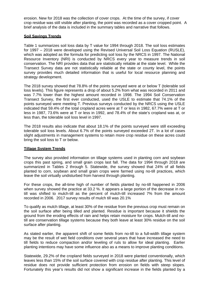erosion. New for 2018 was the collection of cover crops. At the time of the survey, if cover crop residue was still visible after planting, the point was recorded as a cover cropped point. A brief analysis of the data is included in the summary tables and narrative that follows.

#### **Soil Savings Trends**

Table 1 summarizes soil loss data by T value for 1994 through 2018. The soil loss estimates for 1997 – 2018 were developed using the Revised Universal Soil Loss Equation (RUSLE), which was adopted as the formula for predicting soil loss by the NRCS in 1997. The National Resource Inventory (NRI) is conducted by NRCS every year to measure trends in soil conservation. The NRI provides data that are statistically reliable at the state level. While the Transect Survey data are not statistically reliable at the state or county level, the points survey provides much detailed information that is useful for local resource planning and strategy development.

The 2018 survey showed that 78.8% of the points surveyed were at or below T (tolerable soil loss levels). This figure represents a drop of about 5.2% from what was recorded in 2011 and was 7.7% lower than the highest amount recorded in 1998. The 1994 Soil Conservation Transect Survey, the first ever conducted, used the USLE to estimate that 74.1% of the points surveyed were meeting T. Previous surveys conducted by the NRCS using the USLE indicated that 59.4% of the total cropland acres were at T or less in 1982, 67.7% were at T or less in 1987, 73.6% were at T or less in 1992, and 78.4% of the state's cropland was at, or less than, the tolerable soil loss level in 1997.

The 2018 results also indicate that about 18.1% of the points surveyed were still exceeding tolerable soil loss levels. About 6.7% of the points surveyed exceeded 2T. In a lot of cases slight adjustments in management systems to retain more crop residue on these acres could bring the soil loss to T or below.

#### **Tillage System Trends**

The survey also provided information on tillage systems used in planting corn and soybean crops this past spring, and small grain crops last fall. The data for 1994 through 2018 are summarized in Tables 2 through 5. Statewide, the survey showed that 24% of all fields planted to corn, soybean and small grain crops were farmed using no-till practices, which leave the soil virtually undisturbed from harvest through planting.

For these crops, the all-time high of number of fields planted by no-till happened in 2006 when survey showed the practice at 33.2 %. It appears a large portion of the decrease in notill was shifted to mulch-till as the percent of mulch-till increased 7% from the amount recorded in 2006. 2017 survey results of mulch till was 20.1%

To qualify as mulch tillage, at least 30% of the residue from the previous crop must remain on the soil surface after being tilled and planted. Residue is important because it shields the ground from the eroding effects of rain and helps retain moisture for crops. Mulch-till and notill are conservation tillage systems because they both leave at least 30% residue on the soil surface after planting.

As stated earlier, the apparent shift of some fields from no-till to a full-width tillage system may be the result of wet field conditions over several years that have increased the need to till fields to reduce compaction and/or leveling of ruts to allow for ideal planting. Earlier planting intentions may have some influence also as a means to improve planting conditions.

Statewide, 29.2% of the cropland fields surveyed in 2018 were planted conventionally, which leaves less than 15% of the soil surface covered with crop residue after planting. This level of residue does not provide sufficient protection from erosion on fields with steep slopes. Fortunately this year's results did not show a significant increase in the fields planted by a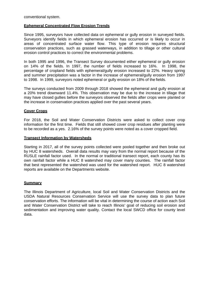conventional system.

#### **Ephemeral Concentrated Flow Erosion Trends**

Since 1995, surveyors have collected data on ephemeral or gully erosion in surveyed fields. Surveyors identify fields in which ephemeral erosion has occurred or is likely to occur in areas of concentrated surface water flow. This type of erosion requires structural conservation practices, such as grassed waterways, in addition to tillage or other cultural erosion control practices to correct the environmental problems.

In both 1995 and 1996, the Transect Survey documented either ephemeral or gully erosion on 14% of the fields. In 1997, the number of fields increased to 16%. In 1998, the percentage of cropland fields with ephemeral/gully erosion increased to 22%. Heavy spring and summer precipitation was a factor in the increase of ephemeral/gully erosion from 1997 to 1998. In 1999, surveyors noted ephemeral or gully erosion on 18% of the fields.

The surveys conducted from 2009 through 2018 showed the ephemeral and gully erosion at a 20% trend downward 11.4%. This observation may be due to the increase in tillage that may have closed gullies before the surveyors observed the fields after crops were planted or the increase in conservation practices applied over the past several years.

#### **Cover Crops**

For 2018, the Soil and Water Conservation Districts were asked to collect cover crop information for the first time. Fields that still showed cover crop residues after planting were to be recorded as a yes. 2.16% of the survey points were noted as a cover cropped field.

#### **Transect Information by Watersheds**

Starting in 2017, all of the survey points collected were pooled together and then broke out by HUC 8 watersheds. Overall data results may vary from the normal report because of the RUSLE rainfall factor used. In the normal or traditional transect report, each county has its own rainfall factor while a HUC 8 watershed may cover many counties. The rainfall factor that best represented the watershed was used for the watershed report. HUC 8 watershed reports are available on the Departments website.

#### **Summary**

The Illinois Department of Agriculture, local Soil and Water Conservation Districts and the USDA Natural Resources Conservation Service will use the survey data to plan future conservation efforts. The information will be vital in determining the course of action each Soil and Water Conservation District will take to reach Illinois' goal of reducing soil erosion and sedimentation and improving water quality. Contact the local SWCD office for county level data.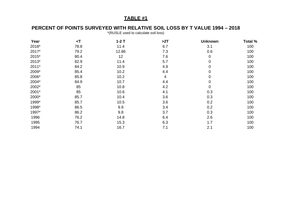## **PERCENT OF POINTS SURVEYED WITH RELATIVE SOIL LOSS BY T VALUE 1994 – 2018**

\*(RUSLE used to calculate soil loss)

| Year  | $\prec$ T | $1-2$ T | >2T | <b>Unknown</b> | Total % |
|-------|-----------|---------|-----|----------------|---------|
| 2018* | 78.8      | 11.4    | 6.7 | 3.1            | 100     |
| 2017* | 79.2      | 12.86   | 7.3 | 0.6            | 100     |
| 2015* | 80.4      | 12      | 7.6 | $\mathbf 0$    | 100     |
| 2013* | 82.9      | 11.4    | 5.7 | $\mathbf 0$    | 100     |
| 2011* | 84.2      | 10.9    | 4.9 | $\mathbf 0$    | 100     |
| 2009* | 85.4      | 10.2    | 4.4 | 0              | 100     |
| 2006* | 85.8      | 10.2    | 4   | 0              | 100     |
| 2004* | 84.9      | 10.7    | 4.4 | 0              | 100     |
| 2002* | 85        | 10.8    | 4.2 | $\mathbf 0$    | 100     |
| 2001* | 85        | 10.6    | 4.1 | 0.3            | 100     |
| 2000* | 85.7      | 10.4    | 3.6 | 0.3            | 100     |
| 1999* | 85.7      | 10.5    | 3.6 | 0.2            | 100     |
| 1998* | 86.5      | 9.9     | 3.4 | 0.2            | 100     |
| 1997* | 86.2      | 9.8     | 3.7 | 0.3            | 100     |
| 1996  | 76.2      | 14.8    | 6.4 | 2.6            | 100     |
| 1995  | 76.7      | 15.3    | 6.3 | 1.7            | 100     |
| 1994  | 74.1      | 16.7    | 7.1 | 2.1            | 100     |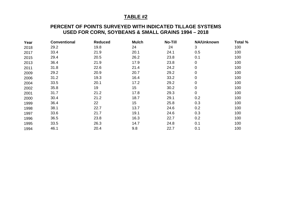## **PERCENT OF POINTS SURVEYED WITH INDICATED TILLAGE SYSTEMS USED FOR CORN, SOYBEANS & SMALL GRAINS 1994 – 2018**

| Year | <b>Conventional</b> | <b>Reduced</b> | <b>Mulch</b> | <b>No-Till</b> | <b>NA/Unknown</b> | Total % |
|------|---------------------|----------------|--------------|----------------|-------------------|---------|
| 2018 | 29.2                | 19.8           | 24           | 24             | 3                 | 100     |
| 2017 | 33.4                | 21.9           | 20.1         | 24.1           | 0.5               | 100     |
| 2015 | 29.4                | 20.5           | 26.2         | 23.8           | 0.1               | 100     |
| 2013 | 36.4                | 21.9           | 17.9         | 23.8           | 0                 | 100     |
| 2011 | 31.8                | 22.6           | 21.4         | 24.2           | 0                 | 100     |
| 2009 | 29.2                | 20.9           | 20.7         | 29.2           | 0                 | 100     |
| 2006 | 31.2                | 19.3           | 16.4         | 33.2           | 0                 | 100     |
| 2004 | 33.5                | 20.1           | 17.2         | 29.2           | 0                 | 100     |
| 2002 | 35.8                | 19             | 15           | 30.2           | 0                 | 100     |
| 2001 | 31.7                | 21.2           | 17.8         | 29.3           | 0                 | 100     |
| 2000 | 30.4                | 21.2           | 18.7         | 29.1           | 0.2               | 100     |
| 1999 | 36.4                | 22             | 15           | 25.8           | 0.3               | 100     |
| 1998 | 38.1                | 22.7           | 13.7         | 24.6           | 0.2               | 100     |
| 1997 | 33.6                | 21.7           | 19.1         | 24.6           | 0.3               | 100     |
| 1996 | 36.5                | 23.8           | 16.3         | 22.7           | 0.2               | 100     |
| 1995 | 33.5                | 26.3           | 14.7         | 24.8           | 0.1               | 100     |
| 1994 | 46.1                | 20.4           | 9.8          | 22.7           | 0.1               | 100     |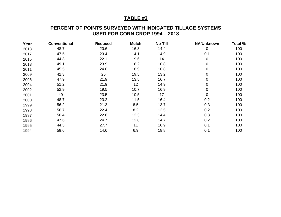#### **PERCENT OF POINTS SURVEYED WITH INDICATED TILLAGE SYSTEMS USED FOR CORN CROP 1994 – 2018**

| Year | <b>Conventional</b> | <b>Reduced</b> | <b>Mulch</b> | <b>No-Till</b> | <b>NA/Unknown</b> | Total % |
|------|---------------------|----------------|--------------|----------------|-------------------|---------|
| 2018 | 48.7                | 20.6           | 16.3         | 14.4           | $\mathbf 0$       | 100     |
| 2017 | 47.5                | 23.4           | 14.1         | 14.9           | 0.1               | 100     |
| 2015 | 44.3                | 22.1           | 19.6         | 14             | $\overline{0}$    | 100     |
| 2013 | 49.1                | 23.9           | 16.2         | 10.8           | $\overline{0}$    | 100     |
| 2011 | 45.5                | 24.8           | 18.9         | 10.8           | $\mathbf 0$       | 100     |
| 2009 | 42.3                | 25             | 19.5         | 13.2           | $\overline{0}$    | 100     |
| 2006 | 47.9                | 21.9           | 13.5         | 16.7           | $\overline{0}$    | 100     |
| 2004 | 51.2                | 21.9           | 12           | 14.9           | 0                 | 100     |
| 2002 | 52.9                | 19.5           | 10.7         | 16.9           | $\mathbf 0$       | 100     |
| 2001 | 49                  | 23.5           | 10.5         | 17             | $\mathbf 0$       | 100     |
| 2000 | 48.7                | 23.2           | 11.5         | 16.4           | 0.2               | 100     |
| 1999 | 56.2                | 21.3           | 8.5          | 13.7           | 0.3               | 100     |
| 1998 | 56.7                | 22.4           | 8.2          | 12.5           | 0.2               | 100     |
| 1997 | 50.4                | 22.6           | 12.3         | 14.4           | 0.3               | 100     |
| 1996 | 47.6                | 24.7           | 12.8         | 14.7           | 0.2               | 100     |
| 1995 | 44.3                | 27.7           | 11           | 16.9           | 0.1               | 100     |
| 1994 | 59.6                | 14.6           | 6.9          | 18.8           | 0.1               | 100     |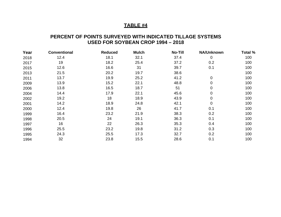## **PERCENT OF POINTS SURVEYED WITH INDICATED TILLAGE SYSTEMS USED FOR SOYBEAN CROP 1994 – 2018**

| Year | <b>Conventional</b> | <b>Reduced</b> | <b>Mulch</b> | <b>No-Till</b> | <b>NA/Unknown</b> | Total % |
|------|---------------------|----------------|--------------|----------------|-------------------|---------|
| 2018 | 12.4                | 18.1           | 32.1         | 37.4           | $\mathbf 0$       | 100     |
| 2017 | 19                  | 18.2           | 25.4         | 37.2           | 0.2               | 100     |
| 2015 | 12.6                | 16.6           | 31           | 39.7           | 0.1               | 100     |
| 2013 | 21.5                | 20.2           | 19.7         | 38.6           |                   | 100     |
| 2011 | 13.7                | 19.9           | 25.2         | 41.2           | $\mathbf 0$       | 100     |
| 2009 | 13.9                | 15.2           | 22.1         | 48.8           | $\mathbf 0$       | 100     |
| 2006 | 13.8                | 16.5           | 18.7         | 51             | $\mathbf 0$       | 100     |
| 2004 | 14.4                | 17.9           | 22.1         | 45.6           | $\mathbf 0$       | 100     |
| 2002 | 19.2                | 18             | 18.9         | 43.9           | $\mathbf 0$       | 100     |
| 2001 | 14.2                | 18.9           | 24.8         | 42.1           | $\mathbf 0$       | 100     |
| 2000 | 12.4                | 19.8           | 26           | 41.7           | 0.1               | 100     |
| 1999 | 16.4                | 23.2           | 21.9         | 38.3           | 0.2               | 100     |
| 1998 | 20.5                | 24             | 19.1         | 36.3           | 0.1               | 100     |
| 1997 | 16                  | 22             | 26.3         | 35.3           | 0.4               | 100     |
| 1996 | 25.5                | 23.2           | 19.8         | 31.2           | 0.3               | 100     |
| 1995 | 24.3                | 25.5           | 17.3         | 32.7           | 0.2               | 100     |
| 1994 | 32                  | 23.8           | 15.5         | 28.6           | 0.1               | 100     |